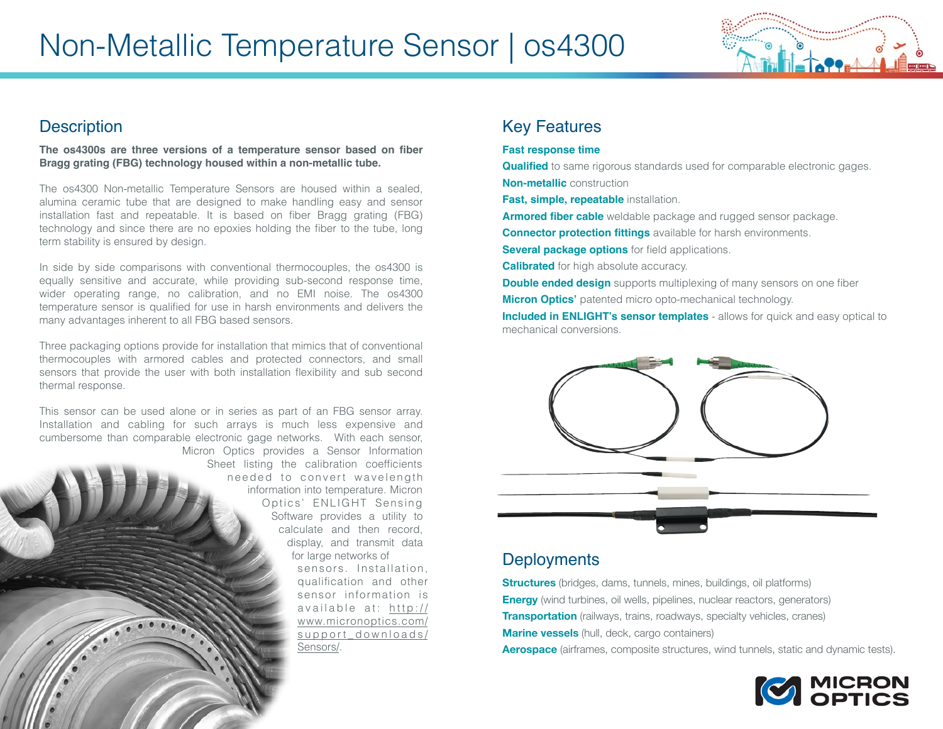

### **Description**

**The os4300s are three versions of a temperature sensor based on fiber Bragg grating (FBG) technology housed within a non-metallic tube.**

The os4300 Non-metallic Temperature Sensors are housed within a sealed, alumina ceramic tube that are designed to make handling easy and sensor installation fast and repeatable. It is based on fiber Bragg grating (FBG) technology and since there are no epoxies holding the fiber to the tube, long term stability is ensured by design.

In side by side comparisons with conventional thermocouples, the os4300 is equally sensitive and accurate, while providing sub-second response time, wider operating range, no calibration, and no EMI noise. The os4300 temperature sensor is qualified for use in harsh environments and delivers the many advantages inherent to all FBG based sensors.

Three packaging options provide for installation that mimics that of conventional thermocouples with armored cables and protected connectors, and small sensors that provide the user with both installation flexibility and sub second thermal response.

This sensor can be used alone or in series as part of an FBG sensor array. Installation and cabling for such arrays is much less expensive and cumbersome than comparable electronic gage networks. With each sensor, Micron Optics provides a Sensor Information Sheet listing the calibration coefficients needed to convert wavelength information into temperature. Micron Optics' ENLIGHT Sensing Software provides a utility to calculate and then record, display, and transmit data for large networks of sensors. Installation, qualification and other sensor information is available at: http:// www.micronoptics.com/  $\bullet \bullet \bullet \bullet \bullet$ support\_downloads/ Sensors/.

## Key Features

### **Fast response time**

**Qualified** to same rigorous standards used for comparable electronic gages. **Non-metallic** construction

**Fast, simple, repeatable** installation.

**Armored fiber cable** weldable package and rugged sensor package.

**Connector protection fittings** available for harsh environments.

**Several package options** for field applications.

**Calibrated** for high absolute accuracy.

**Double ended design** supports multiplexing of many sensors on one fiber

**Micron Optics'** patented micro opto-mechanical technology.

**Included in ENLIGHT's sensor templates** - allows for quick and easy optical to mechanical conversions.



## **Deployments**

**Structures** (bridges, dams, tunnels, mines, buildings, oil platforms) **Energy** (wind turbines, oil wells, pipelines, nuclear reactors, generators) **Transportation** (railways, trains, roadways, specialty vehicles, cranes) **Marine vessels** (hull, deck, cargo containers)

**Aerospace** (airframes, composite structures, wind tunnels, static and dynamic tests).